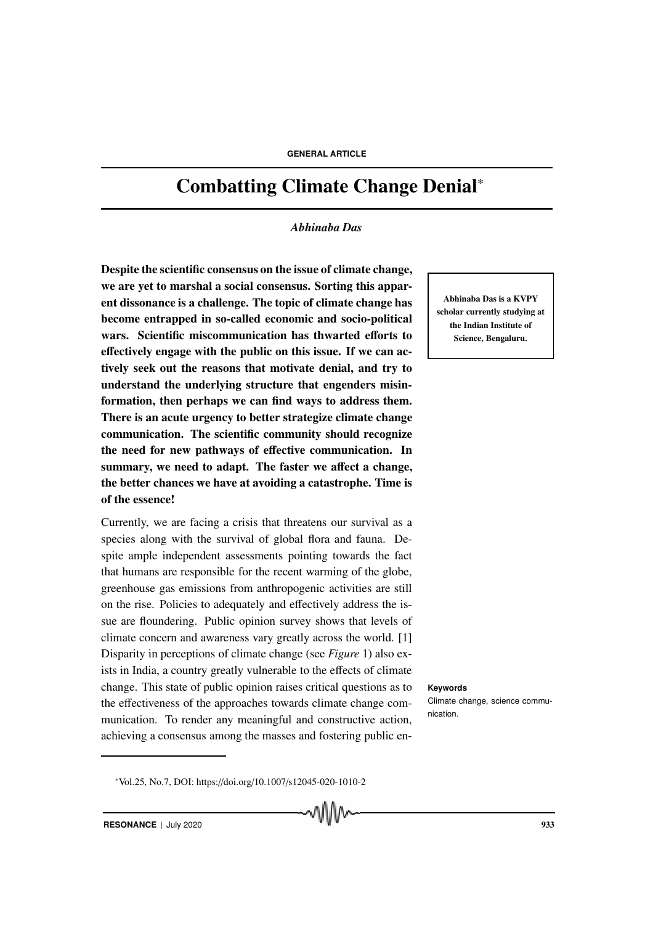# Combatting Climate Change Denial<sup>∗</sup>

### *Abhinaba Das*

Despite the scientific consensus on the issue of climate change, we are yet to marshal a social consensus. Sorting this apparent dissonance is a challenge. The topic of climate change has become entrapped in so-called economic and socio-political wars. Scientific miscommunication has thwarted efforts to effectively engage with the public on this issue. If we can actively seek out the reasons that motivate denial, and try to understand the underlying structure that engenders misinformation, then perhaps we can find ways to address them. There is an acute urgency to better strategize climate change communication. The scientific community should recognize the need for new pathways of effective communication. In summary, we need to adapt. The faster we affect a change, the better chances we have at avoiding a catastrophe. Time is of the essence!

Currently, we are facing a crisis that threatens our survival as a species along with the survival of global flora and fauna. Despite ample independent assessments pointing towards the fact that humans are responsible for the recent warming of the globe, greenhouse gas emissions from anthropogenic activities are still on the rise. Policies to adequately and effectively address the issue are floundering. Public opinion survey shows that levels of climate concern and awareness vary greatly across the world. [1] Disparity in perceptions of climate change (see *Figure* 1) also exists in India, a country greatly vulnerable to the effects of climate change. This state of public opinion raises critical questions as to **Keywords** the effectiveness of the approaches towards climate change communication. To render any meaningful and constructive action, achieving a consensus among the masses and fostering public en-

Abhinaba Das is a KVPY scholar currently studying at the Indian Institute of Science, Bengaluru.

Climate change, science communication.

<sup>∗</sup>Vol.25, No.7, DOI: https://doi.org/10.1007/s12045-020-1010-2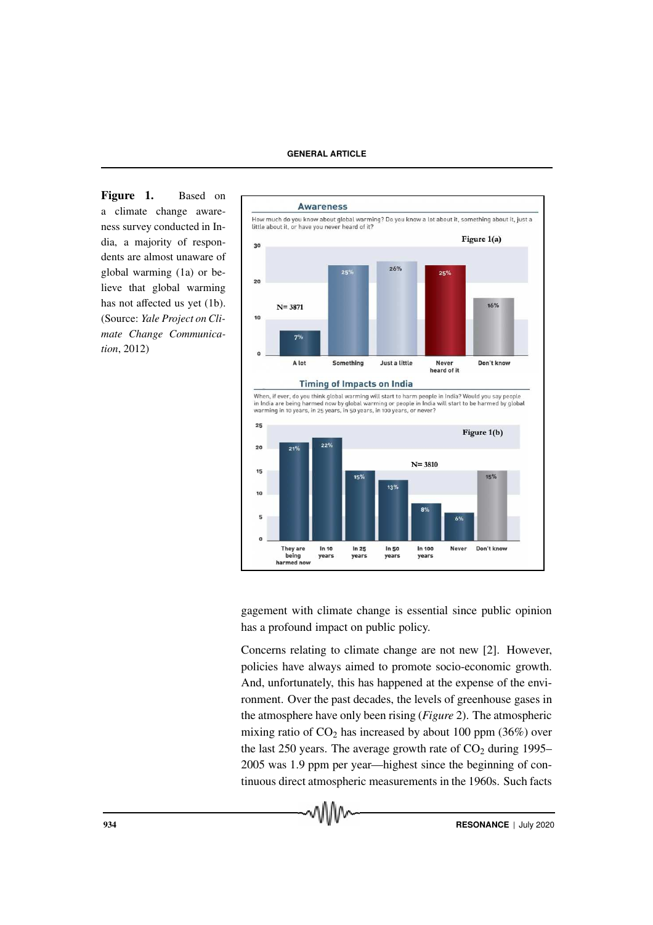Figure 1. Based on a climate change awareness survey conducted in India, a majority of respondents are almost unaware of global warming (1a) or believe that global warming has not affected us yet (1b). (Source: *Yale Project on Climate Change Communication*, 2012)



gagement with climate change is essential since public opinion has a profound impact on public policy.

Concerns relating to climate change are not new [2]. However, policies have always aimed to promote socio-economic growth. And, unfortunately, this has happened at the expense of the environment. Over the past decades, the levels of greenhouse gases in the atmosphere have only been rising (*Figure* 2). The atmospheric mixing ratio of  $CO<sub>2</sub>$  has increased by about 100 ppm (36%) over the last 250 years. The average growth rate of  $CO<sub>2</sub>$  during 1995– 2005 was 1.9 ppm per year—highest since the beginning of continuous direct atmospheric measurements in the 1960s. Such facts

**934 RESONANCE** | July 2020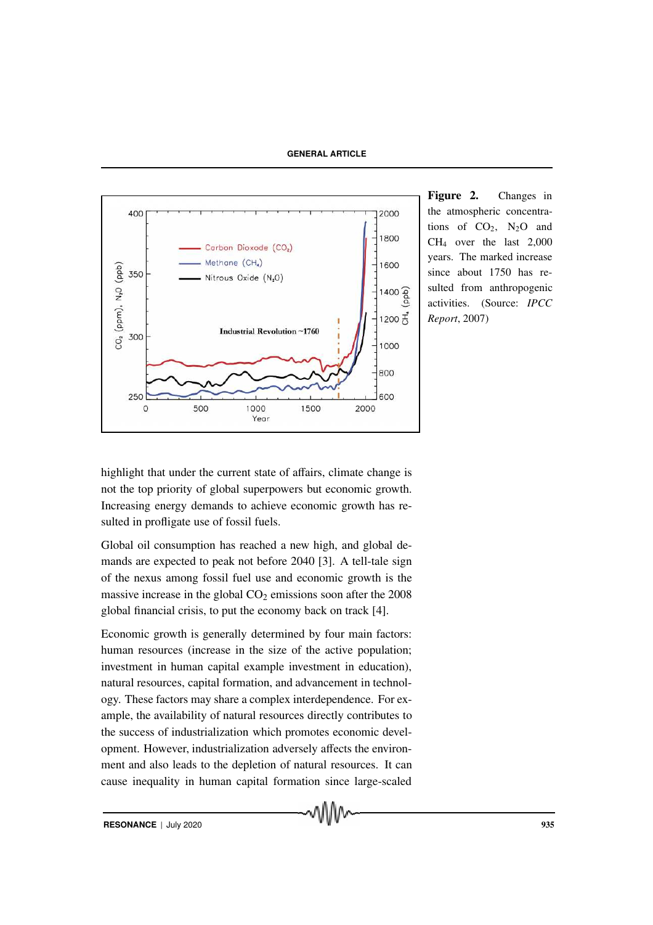**GENERAL ARTICLE**



Figure 2. Changes in the atmospheric concentrations of  $CO<sub>2</sub>$ ,  $N<sub>2</sub>O$  and CH<sup>4</sup> over the last 2,000 years. The marked increase since about 1750 has resulted from anthropogenic activities. (Source: *IPCC Report*, 2007)

highlight that under the current state of affairs, climate change is not the top priority of global superpowers but economic growth. Increasing energy demands to achieve economic growth has resulted in profligate use of fossil fuels.

Global oil consumption has reached a new high, and global demands are expected to peak not before 2040 [3]. A tell-tale sign of the nexus among fossil fuel use and economic growth is the massive increase in the global  $CO<sub>2</sub>$  emissions soon after the 2008 global financial crisis, to put the economy back on track [4].

Economic growth is generally determined by four main factors: human resources (increase in the size of the active population; investment in human capital example investment in education), natural resources, capital formation, and advancement in technology. These factors may share a complex interdependence. For example, the availability of natural resources directly contributes to the success of industrialization which promotes economic development. However, industrialization adversely affects the environment and also leads to the depletion of natural resources. It can cause inequality in human capital formation since large-scaled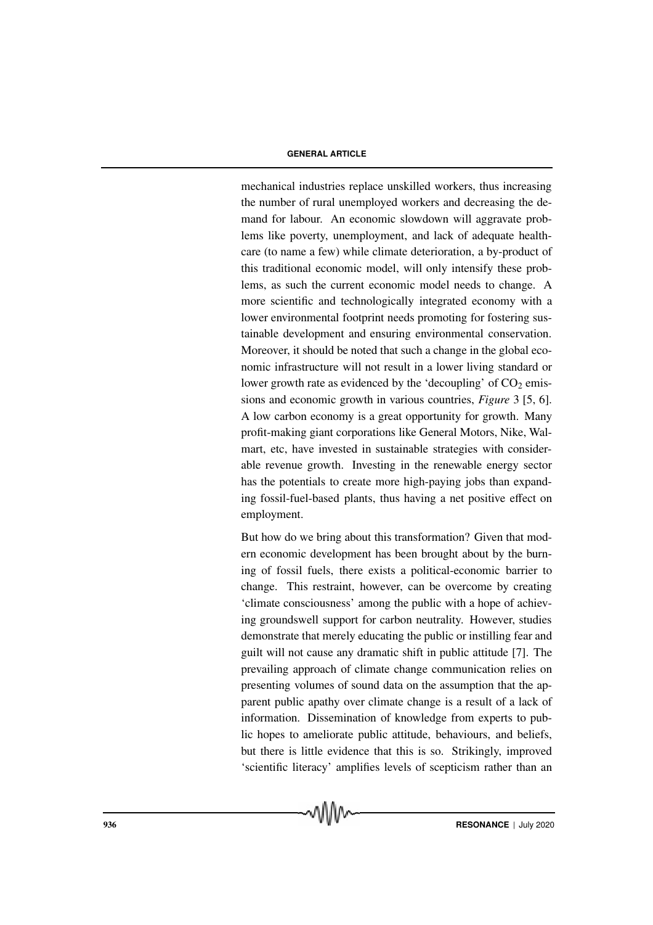mechanical industries replace unskilled workers, thus increasing the number of rural unemployed workers and decreasing the demand for labour. An economic slowdown will aggravate problems like poverty, unemployment, and lack of adequate healthcare (to name a few) while climate deterioration, a by-product of this traditional economic model, will only intensify these problems, as such the current economic model needs to change. A more scientific and technologically integrated economy with a lower environmental footprint needs promoting for fostering sustainable development and ensuring environmental conservation. Moreover, it should be noted that such a change in the global economic infrastructure will not result in a lower living standard or lower growth rate as evidenced by the 'decoupling' of  $CO<sub>2</sub>$  emissions and economic growth in various countries, *Figure* 3 [5, 6]. A low carbon economy is a great opportunity for growth. Many profit-making giant corporations like General Motors, Nike, Walmart, etc, have invested in sustainable strategies with considerable revenue growth. Investing in the renewable energy sector has the potentials to create more high-paying jobs than expanding fossil-fuel-based plants, thus having a net positive effect on employment.

But how do we bring about this transformation? Given that modern economic development has been brought about by the burning of fossil fuels, there exists a political-economic barrier to change. This restraint, however, can be overcome by creating 'climate consciousness' among the public with a hope of achieving groundswell support for carbon neutrality. However, studies demonstrate that merely educating the public or instilling fear and guilt will not cause any dramatic shift in public attitude [7]. The prevailing approach of climate change communication relies on presenting volumes of sound data on the assumption that the apparent public apathy over climate change is a result of a lack of information. Dissemination of knowledge from experts to public hopes to ameliorate public attitude, behaviours, and beliefs, but there is little evidence that this is so. Strikingly, improved 'scientific literacy' amplifies levels of scepticism rather than an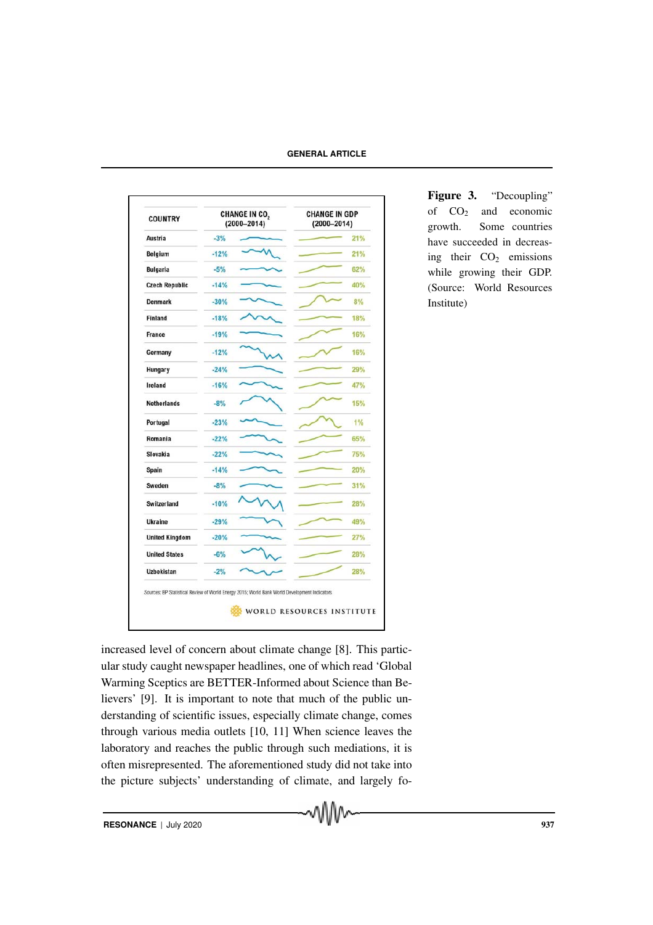| <b>COUNTRY</b>        | <b>CHANGE IN CO<sub>2</sub></b><br>$(2000 - 2014)$ |  | <b>CHANGE IN GDP</b><br>$(2000 - 2014)$ |     |
|-----------------------|----------------------------------------------------|--|-----------------------------------------|-----|
| Austria               | $-3%$                                              |  |                                         | 21% |
| <b>Belgium</b>        | $-12%$                                             |  |                                         | 21% |
| <b>Bulgaria</b>       | $-5%$                                              |  |                                         | 62% |
| <b>Czech Republic</b> | $-14%$                                             |  |                                         | 40% |
| <b>Denmark</b>        | $-30%$                                             |  |                                         | 8%  |
| Finland               | $-18%$                                             |  |                                         | 18% |
| France                | $-19%$                                             |  |                                         | 16% |
| Germany               | $-12%$                                             |  |                                         | 16% |
| Hungary               | $-24%$                                             |  |                                         | 29% |
| Ireland               | $-16%$                                             |  |                                         | 47% |
| <b>Netherlands</b>    | $-8%$                                              |  |                                         | 15% |
| Portugal              | $-23%$                                             |  |                                         | 1%  |
| Romania               | $-22%$                                             |  |                                         | 65% |
| Slovakia              | $-22%$                                             |  |                                         | 75% |
| Spain                 | $-14%$                                             |  |                                         | 20% |
| Sweden                | $-8%$                                              |  |                                         | 31% |
| <b>Switzerland</b>    | $-10%$                                             |  |                                         | 28% |
| Ukraine               | $-29%$                                             |  |                                         | 49% |
| <b>United Kingdom</b> | $-20%$                                             |  |                                         | 27% |
| <b>United States</b>  | $-6%$                                              |  |                                         | 28% |
| Uzbekistan            | $-2%$                                              |  |                                         | 28% |

Figure 3. "Decoupling" of CO<sup>2</sup> and economic growth. Some countries have succeeded in decreasing their  $CO<sub>2</sub>$  emissions while growing their GDP. (Source: World Resources Institute)

increased level of concern about climate change [8]. This particular study caught newspaper headlines, one of which read 'Global Warming Sceptics are BETTER-Informed about Science than Believers' [9]. It is important to note that much of the public understanding of scientific issues, especially climate change, comes through various media outlets [10, 11] When science leaves the laboratory and reaches the public through such mediations, it is often misrepresented. The aforementioned study did not take into the picture subjects' understanding of climate, and largely fo-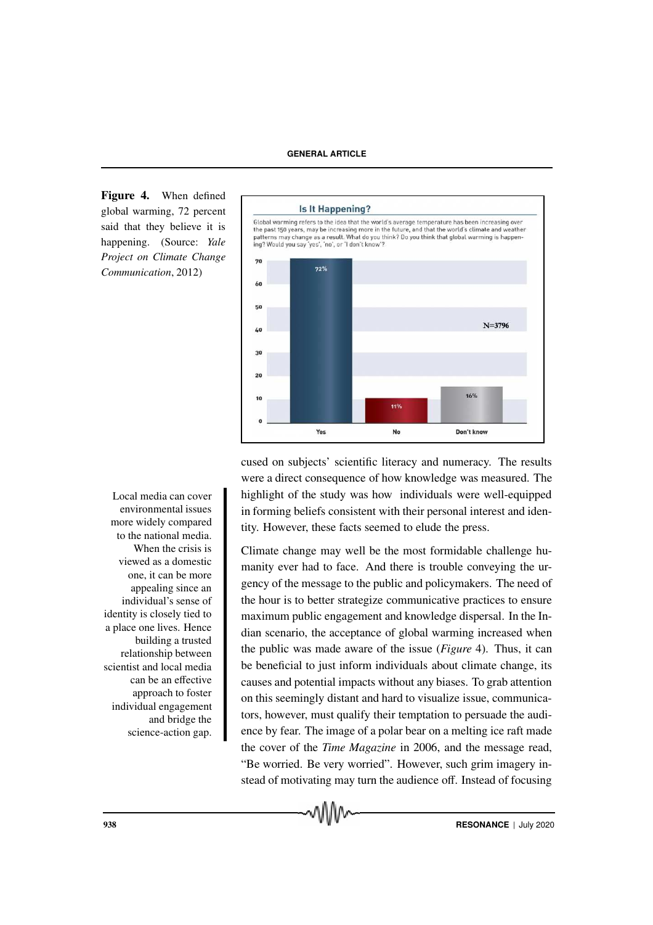Figure 4. When defined global warming, 72 percent said that they believe it is happening. (Source: *Yale Project on Climate Change Communication*, 2012)



cused on subjects' scientific literacy and numeracy. The results were a direct consequence of how knowledge was measured. The Local media can cover highlight of the study was how individuals were well-equipped in forming beliefs consistent with their personal interest and identity. However, these facts seemed to elude the press.

> Climate change may well be the most formidable challenge humanity ever had to face. And there is trouble conveying the urgency of the message to the public and policymakers. The need of the hour is to better strategize communicative practices to ensure maximum public engagement and knowledge dispersal. In the Indian scenario, the acceptance of global warming increased when the public was made aware of the issue (*Figure* 4). Thus, it can be beneficial to just inform individuals about climate change, its causes and potential impacts without any biases. To grab attention on this seemingly distant and hard to visualize issue, communicators, however, must qualify their temptation to persuade the audience by fear. The image of a polar bear on a melting ice raft made the cover of the *Time Magazine* in 2006, and the message read, "Be worried. Be very worried". However, such grim imagery instead of motivating may turn the audience off. Instead of focusing

environmental issues more widely compared to the national media. When the crisis is viewed as a domestic one, it can be more appealing since an individual's sense of identity is closely tied to a place one lives. Hence building a trusted relationship between scientist and local media can be an effective approach to foster individual engagement and bridge the science-action gap.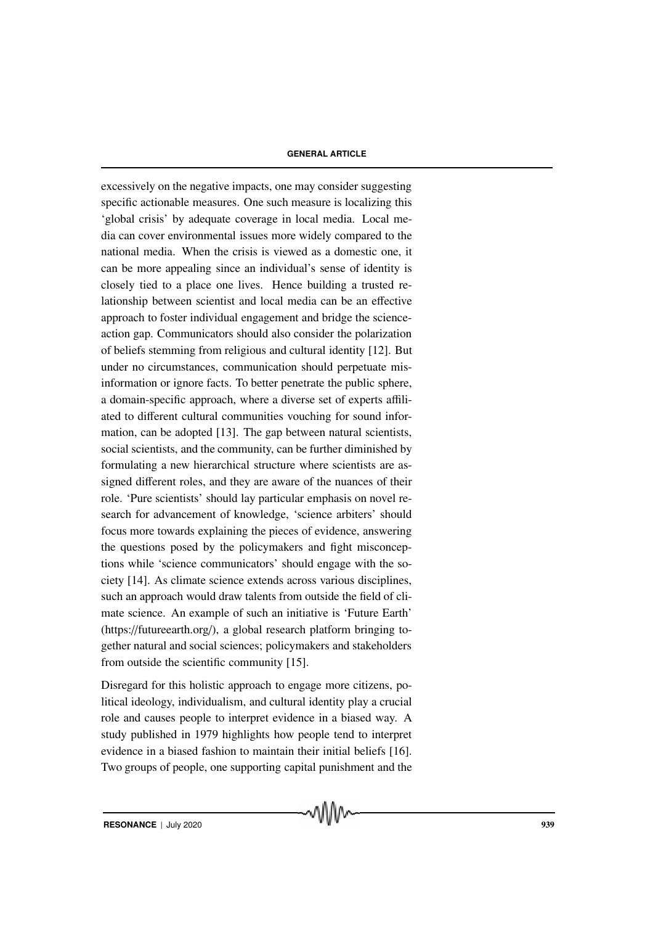excessively on the negative impacts, one may consider suggesting specific actionable measures. One such measure is localizing this 'global crisis' by adequate coverage in local media. Local media can cover environmental issues more widely compared to the national media. When the crisis is viewed as a domestic one, it can be more appealing since an individual's sense of identity is closely tied to a place one lives. Hence building a trusted relationship between scientist and local media can be an effective approach to foster individual engagement and bridge the scienceaction gap. Communicators should also consider the polarization of beliefs stemming from religious and cultural identity [12]. But under no circumstances, communication should perpetuate misinformation or ignore facts. To better penetrate the public sphere, a domain-specific approach, where a diverse set of experts affiliated to different cultural communities vouching for sound information, can be adopted [13]. The gap between natural scientists, social scientists, and the community, can be further diminished by formulating a new hierarchical structure where scientists are assigned different roles, and they are aware of the nuances of their role. 'Pure scientists' should lay particular emphasis on novel research for advancement of knowledge, 'science arbiters' should focus more towards explaining the pieces of evidence, answering the questions posed by the policymakers and fight misconceptions while 'science communicators' should engage with the society [14]. As climate science extends across various disciplines, such an approach would draw talents from outside the field of climate science. An example of such an initiative is 'Future Earth' (https://futureearth.org/), a global research platform bringing together natural and social sciences; policymakers and stakeholders from outside the scientific community [15].

Disregard for this holistic approach to engage more citizens, political ideology, individualism, and cultural identity play a crucial role and causes people to interpret evidence in a biased way. A study published in 1979 highlights how people tend to interpret evidence in a biased fashion to maintain their initial beliefs [16]. Two groups of people, one supporting capital punishment and the

√∖ใ∖∧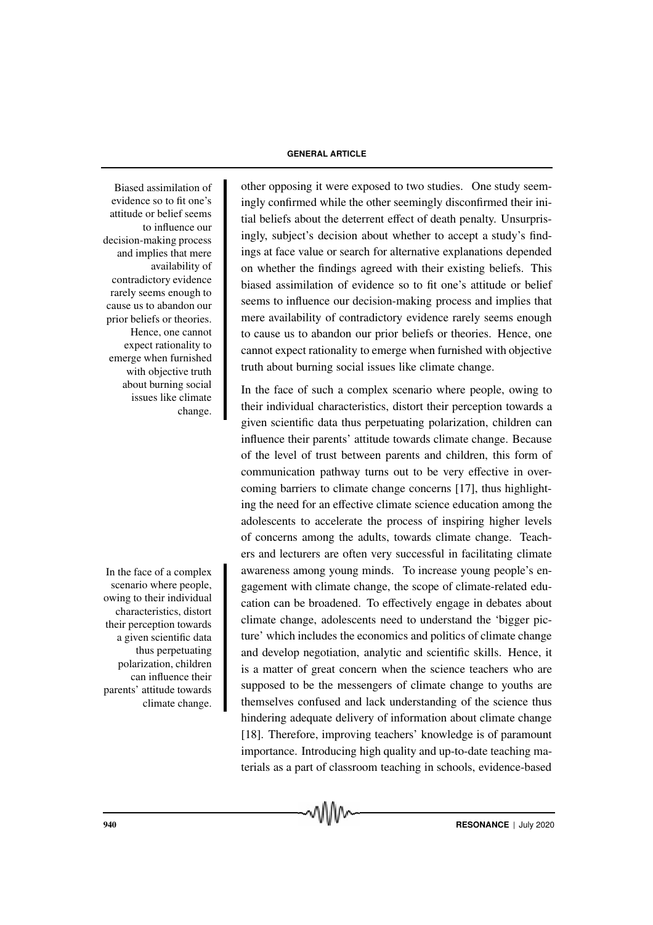evidence so to fit one's attitude or belief seems to influence our decision-making process and implies that mere availability of contradictory evidence rarely seems enough to cause us to abandon our prior beliefs or theories. Hence, one cannot expect rationality to emerge when furnished with objective truth about burning social issues like climate change.

scenario where people, owing to their individual characteristics, distort their perception towards a given scientific data thus perpetuating polarization, children can influence their parents' attitude towards climate change.

Biased assimilation of other opposing it were exposed to two studies. One study seemingly confirmed while the other seemingly disconfirmed their initial beliefs about the deterrent effect of death penalty. Unsurprisingly, subject's decision about whether to accept a study's findings at face value or search for alternative explanations depended on whether the findings agreed with their existing beliefs. This biased assimilation of evidence so to fit one's attitude or belief seems to influence our decision-making process and implies that mere availability of contradictory evidence rarely seems enough to cause us to abandon our prior beliefs or theories. Hence, one cannot expect rationality to emerge when furnished with objective truth about burning social issues like climate change.

In the face of such a complex scenario where people, owing to their individual characteristics, distort their perception towards a given scientific data thus perpetuating polarization, children can influence their parents' attitude towards climate change. Because of the level of trust between parents and children, this form of communication pathway turns out to be very effective in overcoming barriers to climate change concerns [17], thus highlighting the need for an effective climate science education among the adolescents to accelerate the process of inspiring higher levels of concerns among the adults, towards climate change. Teachers and lecturers are often very successful in facilitating climate In the face of a complex awareness among young minds. To increase young people's engagement with climate change, the scope of climate-related education can be broadened. To effectively engage in debates about climate change, adolescents need to understand the 'bigger picture' which includes the economics and politics of climate change and develop negotiation, analytic and scientific skills. Hence, it is a matter of great concern when the science teachers who are supposed to be the messengers of climate change to youths are themselves confused and lack understanding of the science thus hindering adequate delivery of information about climate change [18]. Therefore, improving teachers' knowledge is of paramount importance. Introducing high quality and up-to-date teaching materials as a part of classroom teaching in schools, evidence-based

940 **RESONANCE** | July 2020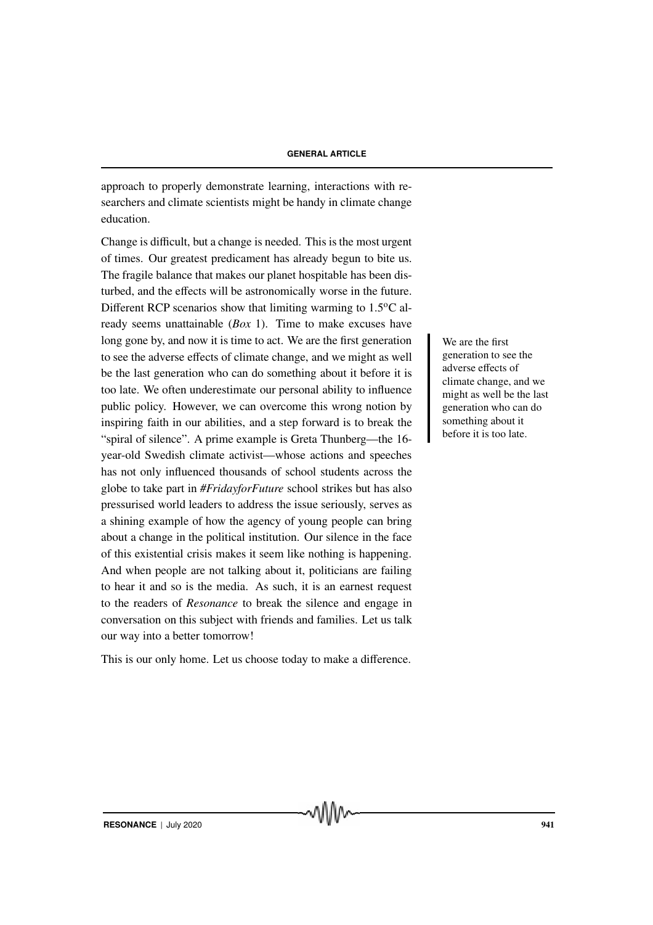approach to properly demonstrate learning, interactions with researchers and climate scientists might be handy in climate change education.

Change is difficult, but a change is needed. This is the most urgent of times. Our greatest predicament has already begun to bite us. The fragile balance that makes our planet hospitable has been disturbed, and the effects will be astronomically worse in the future. Different RCP scenarios show that limiting warming to  $1.5\textdegree C$  already seems unattainable (*Box* 1). Time to make excuses have long gone by, and now it is time to act. We are the first generation We are the first to see the adverse effects of climate change, and we might as well be the last generation who can do something about it before it is too late. We often underestimate our personal ability to influence public policy. However, we can overcome this wrong notion by inspiring faith in our abilities, and a step forward is to break the "spiral of silence". A prime example is Greta Thunberg—the 16 year-old Swedish climate activist—whose actions and speeches has not only influenced thousands of school students across the globe to take part in *#FridayforFuture* school strikes but has also pressurised world leaders to address the issue seriously, serves as a shining example of how the agency of young people can bring about a change in the political institution. Our silence in the face of this existential crisis makes it seem like nothing is happening. And when people are not talking about it, politicians are failing to hear it and so is the media. As such, it is an earnest request to the readers of *Resonance* to break the silence and engage in conversation on this subject with friends and families. Let us talk our way into a better tomorrow!

This is our only home. Let us choose today to make a difference.

generation to see the adverse effects of climate change, and we might as well be the last generation who can do something about it before it is too late.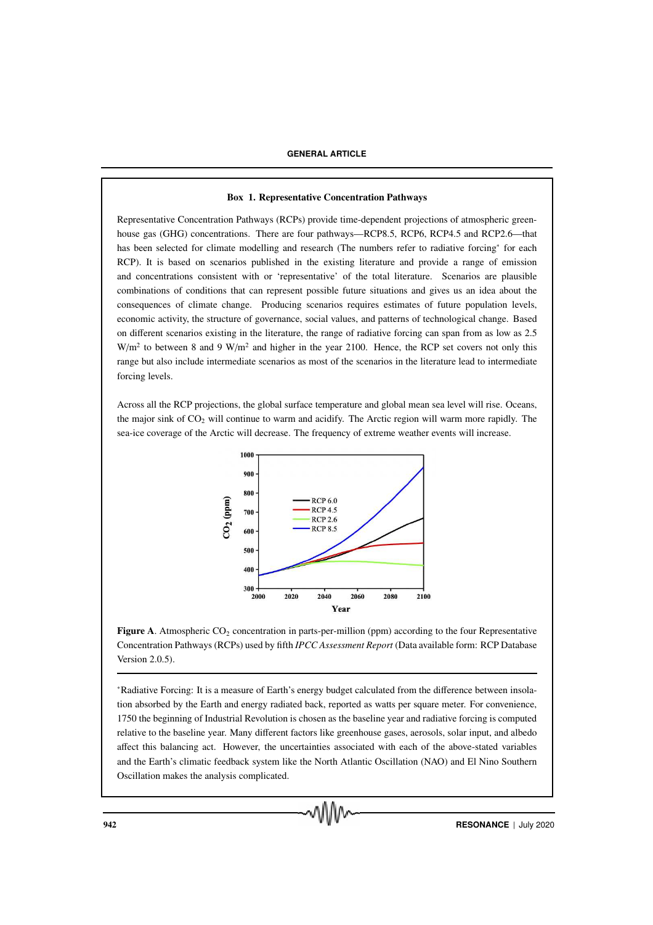#### Box 1. Representative Concentration Pathways

Representative Concentration Pathways (RCPs) provide time-dependent projections of atmospheric greenhouse gas (GHG) concentrations. There are four pathways—RCP8.5, RCP6, RCP4.5 and RCP2.6—that has been selected for climate modelling and research (The numbers refer to radiative forcing<sup>∗</sup> for each RCP). It is based on scenarios published in the existing literature and provide a range of emission and concentrations consistent with or 'representative' of the total literature. Scenarios are plausible combinations of conditions that can represent possible future situations and gives us an idea about the consequences of climate change. Producing scenarios requires estimates of future population levels, economic activity, the structure of governance, social values, and patterns of technological change. Based on different scenarios existing in the literature, the range of radiative forcing can span from as low as 2.5  $W/m<sup>2</sup>$  to between 8 and 9 W/m<sup>2</sup> and higher in the year 2100. Hence, the RCP set covers not only this range but also include intermediate scenarios as most of the scenarios in the literature lead to intermediate forcing levels.

Across all the RCP projections, the global surface temperature and global mean sea level will rise. Oceans, the major sink of CO<sup>2</sup> will continue to warm and acidify. The Arctic region will warm more rapidly. The sea-ice coverage of the Arctic will decrease. The frequency of extreme weather events will increase.



Figure A. Atmospheric  $CO_2$  concentration in parts-per-million (ppm) according to the four Representative Concentration Pathways (RCPs) used by fifth *IPCC Assessment Report* (Data available form: RCP Database Version 2.0.5).

<sup>∗</sup>Radiative Forcing: It is a measure of Earth's energy budget calculated from the difference between insolation absorbed by the Earth and energy radiated back, reported as watts per square meter. For convenience, 1750 the beginning of Industrial Revolution is chosen as the baseline year and radiative forcing is computed relative to the baseline year. Many different factors like greenhouse gases, aerosols, solar input, and albedo affect this balancing act. However, the uncertainties associated with each of the above-stated variables and the Earth's climatic feedback system like the North Atlantic Oscillation (NAO) and El Nino Southern Oscillation makes the analysis complicated.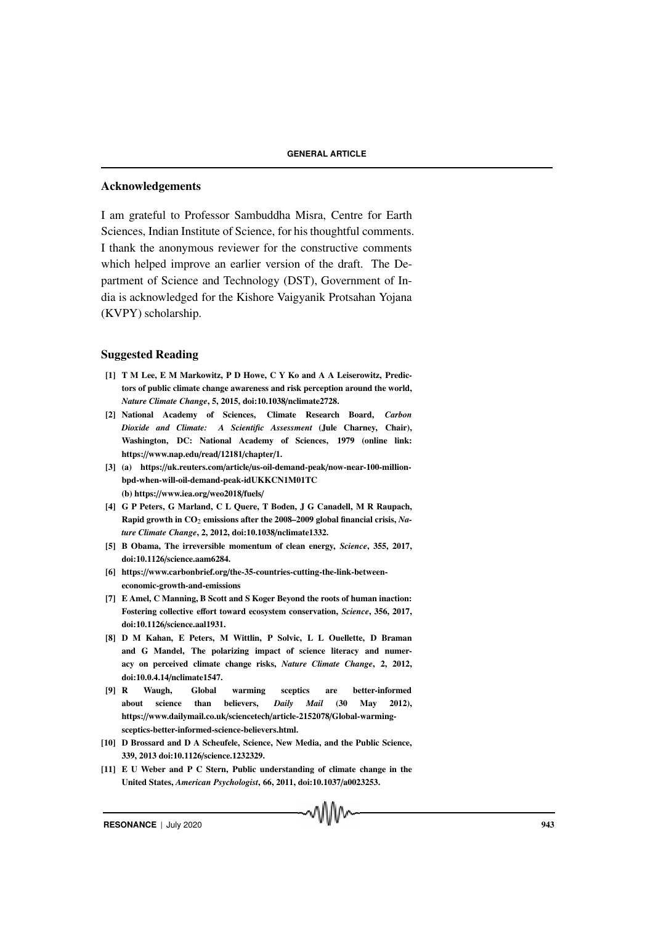## Acknowledgements

I am grateful to Professor Sambuddha Misra, Centre for Earth Sciences, Indian Institute of Science, for his thoughtful comments. I thank the anonymous reviewer for the constructive comments which helped improve an earlier version of the draft. The Department of Science and Technology (DST), Government of India is acknowledged for the Kishore Vaigyanik Protsahan Yojana (KVPY) scholarship.

# Suggested Reading

- [1] T M Lee, E M Markowitz, P D Howe, C Y Ko and A A Leiserowitz, Predictors of public climate change awareness and risk perception around the world, *Nature Climate Change*, 5, 2015, doi:10.1038/nclimate2728.
- [2] National Academy of Sciences, Climate Research Board, *Carbon Dioxide and Climate: A Scientific Assessment* (Jule Charney, Chair), Washington, DC: National Academy of Sciences, 1979 (online link: https://www.nap.edu/read/12181/chapter/1.
- [3] (a) https://uk.reuters.com/article/us-oil-demand-peak/now-near-100-millionbpd-when-will-oil-demand-peak-idUKKCN1M01TC (b) https://www.iea.org/weo2018/fuels/
- [4] G P Peters, G Marland, C L Quere, T Boden, J G Canadell, M R Raupach, Rapid growth in CO<sup>2</sup> emissions after the 2008–2009 global financial crisis, *Nature Climate Change*, 2, 2012, doi:10.1038/nclimate1332.
- [5] B Obama, The irreversible momentum of clean energy, *Science*, 355, 2017, doi:10.1126/science.aam6284.
- [6] https://www.carbonbrief.org/the-35-countries-cutting-the-link-betweeneconomic-growth-and-emissions
- [7] E Amel, C Manning, B Scott and S Koger Beyond the roots of human inaction: Fostering collective effort toward ecosystem conservation, *Science*, 356, 2017, doi:10.1126/science.aal1931.
- [8] D M Kahan, E Peters, M Wittlin, P Solvic, L L Ouellette, D Braman and G Mandel, The polarizing impact of science literacy and numeracy on perceived climate change risks, *Nature Climate Change*, 2, 2012, doi:10.0.4.14/nclimate1547.
- [9] R Waugh, Global warming sceptics are better-informed about science than believers, *Daily Mail* (30 May 2012), https://www.dailymail.co.uk/sciencetech/article-2152078/Global-warmingsceptics-better-informed-science-believers.html.
- [10] D Brossard and D A Scheufele, Science, New Media, and the Public Science, 339, 2013 doi:10.1126/science.1232329.
- [11] E U Weber and P C Stern, Public understanding of climate change in the United States, *American Psychologist*, 66, 2011, doi:10.1037/a0023253.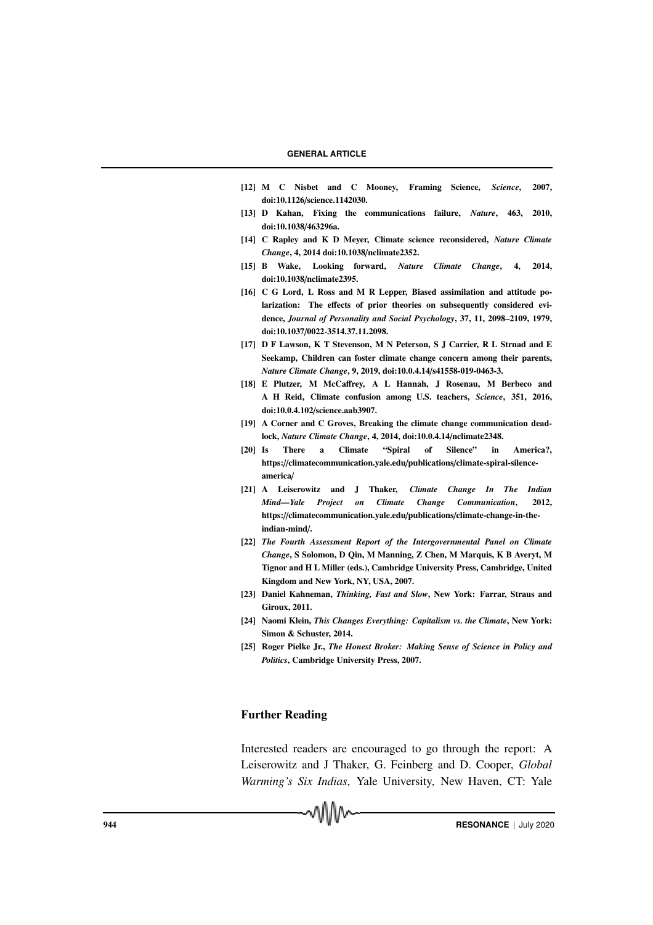- [12] M C Nisbet and C Mooney, Framing Science, *Science*, 2007, doi:10.1126/science.1142030.
- [13] D Kahan, Fixing the communications failure, *Nature*, 463, 2010, doi:10.1038/463296a.
- [14] C Rapley and K D Meyer, Climate science reconsidered, *Nature Climate Change*, 4, 2014 doi:10.1038/nclimate2352.
- [15] B Wake, Looking forward, *Nature Climate Change*, 4, 2014, doi:10.1038/nclimate2395.
- [16] C G Lord, L Ross and M R Lepper, Biased assimilation and attitude polarization: The effects of prior theories on subsequently considered evidence, *Journal of Personality and Social Psychology*, 37, 11, 2098–2109, 1979, doi:10.1037/0022-3514.37.11.2098.
- [17] D F Lawson, K T Stevenson, M N Peterson, S J Carrier, R L Strnad and E Seekamp, Children can foster climate change concern among their parents, *Nature Climate Change*, 9, 2019, doi:10.0.4.14/s41558-019-0463-3.
- [18] E Plutzer, M McCaffrey, A L Hannah, J Rosenau, M Berbeco and A H Reid, Climate confusion among U.S. teachers, *Science*, 351, 2016, doi:10.0.4.102/science.aab3907.
- [19] A Corner and C Groves, Breaking the climate change communication deadlock, *Nature Climate Change*, 4, 2014, doi:10.0.4.14/nclimate2348.
- [20] Is There a Climate "Spiral of Silence" in America?, https://climatecommunication.yale.edu/publications/climate-spiral-silenceamerica/
- [21] A Leiserowitz and J Thaker, *Climate Change In The Indian Mind—Yale Project on Climate Change Communication*, 2012, https://climatecommunication.yale.edu/publications/climate-change-in-theindian-mind/.
- [22] *The Fourth Assessment Report of the Intergovernmental Panel on Climate Change*, S Solomon, D Qin, M Manning, Z Chen, M Marquis, K B Averyt, M Tignor and H L Miller (eds.), Cambridge University Press, Cambridge, United Kingdom and New York, NY, USA, 2007.
- [23] Daniel Kahneman, *Thinking, Fast and Slow*, New York: Farrar, Straus and Giroux, 2011.
- [24] Naomi Klein, *This Changes Everything: Capitalism vs. the Climate*, New York: Simon & Schuster, 2014.
- [25] Roger Pielke Jr., *The Honest Broker: Making Sense of Science in Policy and Politics*, Cambridge University Press, 2007.

## Further Reading

Interested readers are encouraged to go through the report: A Leiserowitz and J Thaker, G. Feinberg and D. Cooper, *Global Warming's Six Indias*, Yale University, New Haven, CT: Yale